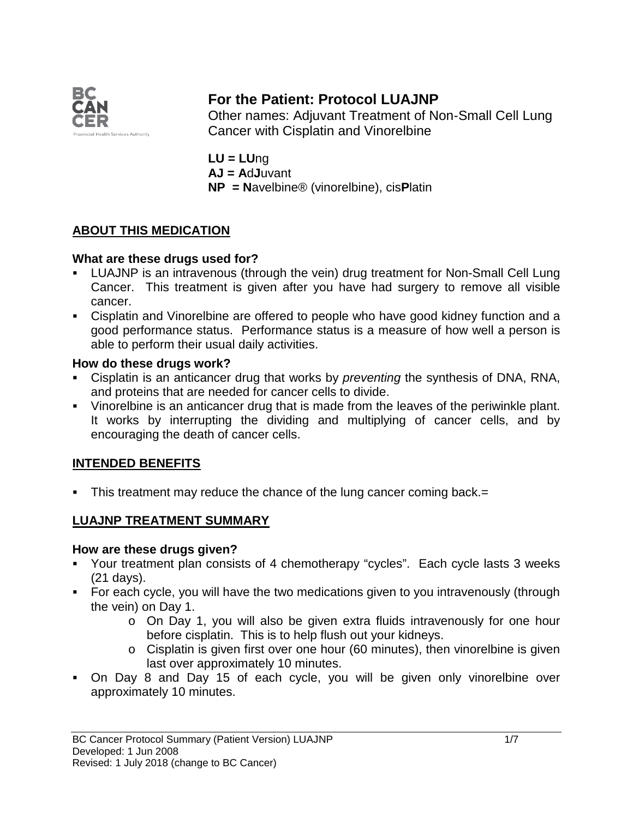

# **For the Patient: Protocol LUAJNP**

Other names: Adjuvant Treatment of Non-Small Cell Lung Cancer with Cisplatin and Vinorelbine

**LU = LU**ng **AJ = A**d**J**uvant **NP = N**avelbine® (vinorelbine), cis**P**latin

# **ABOUT THIS MEDICATION**

### **What are these drugs used for?**

- LUAJNP is an intravenous (through the vein) drug treatment for Non-Small Cell Lung Cancer. This treatment is given after you have had surgery to remove all visible cancer.
- Cisplatin and Vinorelbine are offered to people who have good kidney function and a good performance status. Performance status is a measure of how well a person is able to perform their usual daily activities.

#### **How do these drugs work?**

- Cisplatin is an anticancer drug that works by *preventing* the synthesis of DNA, RNA, and proteins that are needed for cancer cells to divide.
- Vinorelbine is an anticancer drug that is made from the leaves of the periwinkle plant. It works by interrupting the dividing and multiplying of cancer cells, and by encouraging the death of cancer cells.

### **INTENDED BENEFITS**

■ This treatment may reduce the chance of the lung cancer coming back. =

### **LUAJNP TREATMENT SUMMARY**

#### **How are these drugs given?**

- Your treatment plan consists of 4 chemotherapy "cycles". Each cycle lasts 3 weeks (21 days).
- For each cycle, you will have the two medications given to you intravenously (through the vein) on Day 1.
	- o On Day 1, you will also be given extra fluids intravenously for one hour before cisplatin. This is to help flush out your kidneys.
	- o Cisplatin is given first over one hour (60 minutes), then vinorelbine is given last over approximately 10 minutes.
- On Day 8 and Day 15 of each cycle, you will be given only vinorelbine over approximately 10 minutes.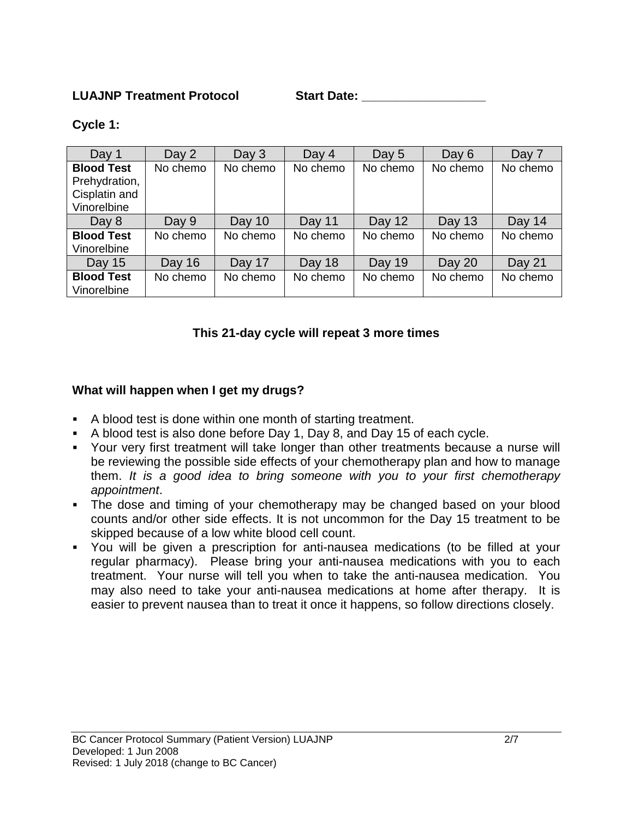#### **LUAJNP Treatment Protocol Start Date: \_\_\_\_\_\_\_\_\_\_\_\_\_\_\_\_\_\_**

#### **Cycle 1:**

| Day 1             | Day 2    | Day $3$  | Day 4    | Day 5    | Day $6$  | Day 7    |
|-------------------|----------|----------|----------|----------|----------|----------|
| <b>Blood Test</b> | No chemo | No chemo | No chemo | No chemo | No chemo | No chemo |
| Prehydration,     |          |          |          |          |          |          |
| Cisplatin and     |          |          |          |          |          |          |
| Vinorelbine       |          |          |          |          |          |          |
| Day $8$           | Day 9    | Day $10$ | Day 11   | Day 12   | Day 13   | Day 14   |
| <b>Blood Test</b> | No chemo | No chemo | No chemo | No chemo | No chemo | No chemo |
| Vinorelbine       |          |          |          |          |          |          |
| Day 15            | Day 16   | Day 17   | Day 18   | Day 19   | Day 20   | Day 21   |
| <b>Blood Test</b> | No chemo | No chemo | No chemo | No chemo | No chemo | No chemo |
| Vinorelbine       |          |          |          |          |          |          |

### **This 21-day cycle will repeat 3 more times**

#### **What will happen when I get my drugs?**

- A blood test is done within one month of starting treatment.
- A blood test is also done before Day 1, Day 8, and Day 15 of each cycle.
- Your very first treatment will take longer than other treatments because a nurse will be reviewing the possible side effects of your chemotherapy plan and how to manage them. *It is a good idea to bring someone with you to your first chemotherapy appointment*.
- The dose and timing of your chemotherapy may be changed based on your blood counts and/or other side effects. It is not uncommon for the Day 15 treatment to be skipped because of a low white blood cell count.
- You will be given a prescription for anti-nausea medications (to be filled at your regular pharmacy). Please bring your anti-nausea medications with you to each treatment. Your nurse will tell you when to take the anti-nausea medication. You may also need to take your anti-nausea medications at home after therapy. It is easier to prevent nausea than to treat it once it happens, so follow directions closely.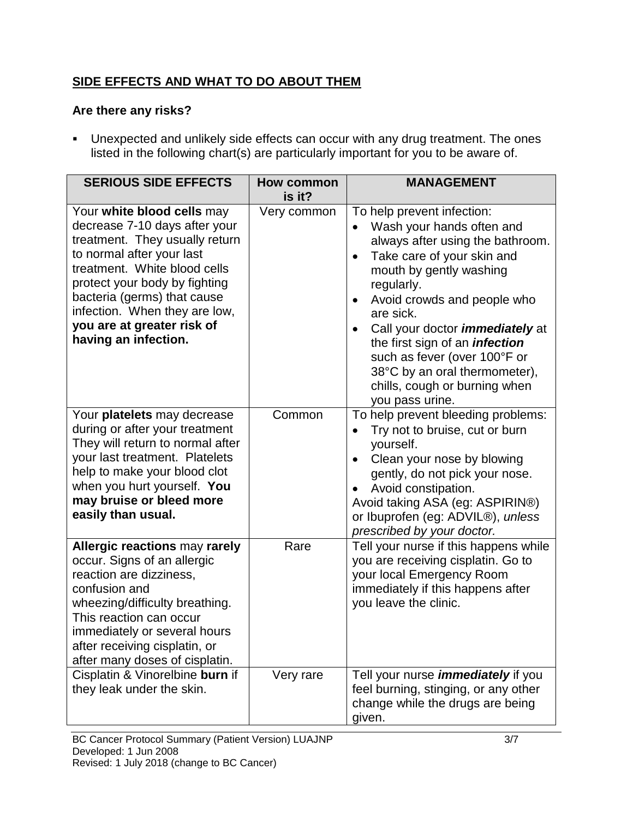# **SIDE EFFECTS AND WHAT TO DO ABOUT THEM**

### **Are there any risks?**

 Unexpected and unlikely side effects can occur with any drug treatment. The ones listed in the following chart(s) are particularly important for you to be aware of.

| <b>SERIOUS SIDE EFFECTS</b>                                                                                                                                                                                                                                                                                       | How common            | <b>MANAGEMENT</b>                                                                                                                                                                                                                                                                                                                                                                                                                                             |
|-------------------------------------------------------------------------------------------------------------------------------------------------------------------------------------------------------------------------------------------------------------------------------------------------------------------|-----------------------|---------------------------------------------------------------------------------------------------------------------------------------------------------------------------------------------------------------------------------------------------------------------------------------------------------------------------------------------------------------------------------------------------------------------------------------------------------------|
| Your white blood cells may<br>decrease 7-10 days after your<br>treatment. They usually return<br>to normal after your last<br>treatment. White blood cells<br>protect your body by fighting<br>bacteria (germs) that cause<br>infection. When they are low,<br>you are at greater risk of<br>having an infection. | is it?<br>Very common | To help prevent infection:<br>Wash your hands often and<br>always after using the bathroom.<br>Take care of your skin and<br>$\bullet$<br>mouth by gently washing<br>regularly.<br>Avoid crowds and people who<br>$\bullet$<br>are sick.<br>Call your doctor <i>immediately</i> at<br>$\bullet$<br>the first sign of an <i>infection</i><br>such as fever (over 100°F or<br>38°C by an oral thermometer),<br>chills, cough or burning when<br>you pass urine. |
| Your platelets may decrease<br>during or after your treatment<br>They will return to normal after<br>your last treatment. Platelets<br>help to make your blood clot<br>when you hurt yourself. You<br>may bruise or bleed more<br>easily than usual.                                                              | Common                | To help prevent bleeding problems:<br>Try not to bruise, cut or burn<br>yourself.<br>Clean your nose by blowing<br>$\bullet$<br>gently, do not pick your nose.<br>Avoid constipation.<br>Avoid taking ASA (eg: ASPIRIN®)<br>or Ibuprofen (eg: ADVIL®), unless<br>prescribed by your doctor.                                                                                                                                                                   |
| Allergic reactions may rarely<br>occur. Signs of an allergic<br>reaction are dizziness,<br>confusion and<br>wheezing/difficulty breathing.<br>This reaction can occur<br>immediately or several hours<br>after receiving cisplatin, or<br>after many doses of cisplatin.                                          | Rare                  | Tell your nurse if this happens while<br>you are receiving cisplatin. Go to<br>your local Emergency Room<br>immediately if this happens after<br>you leave the clinic.                                                                                                                                                                                                                                                                                        |
| Cisplatin & Vinorelbine burn if<br>they leak under the skin.                                                                                                                                                                                                                                                      | Very rare             | Tell your nurse <i>immediately</i> if you<br>feel burning, stinging, or any other<br>change while the drugs are being<br>given.                                                                                                                                                                                                                                                                                                                               |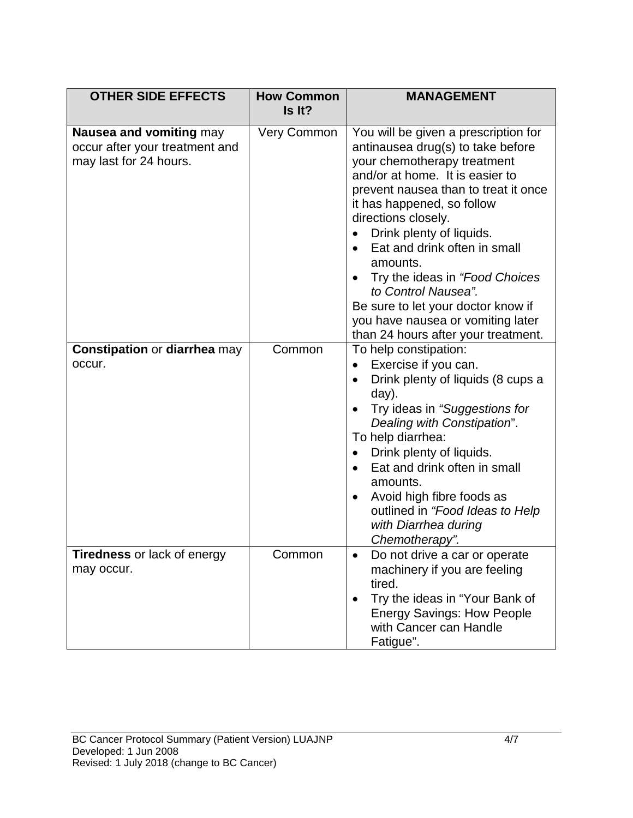| <b>OTHER SIDE EFFECTS</b>                                                           | <b>How Common</b><br>Is It? | <b>MANAGEMENT</b>                                                                                                                                                                                                                                                                                                                                                                                                                                                                                                     |
|-------------------------------------------------------------------------------------|-----------------------------|-----------------------------------------------------------------------------------------------------------------------------------------------------------------------------------------------------------------------------------------------------------------------------------------------------------------------------------------------------------------------------------------------------------------------------------------------------------------------------------------------------------------------|
|                                                                                     |                             |                                                                                                                                                                                                                                                                                                                                                                                                                                                                                                                       |
| Nausea and vomiting may<br>occur after your treatment and<br>may last for 24 hours. | Very Common                 | You will be given a prescription for<br>antinausea drug(s) to take before<br>your chemotherapy treatment<br>and/or at home. It is easier to<br>prevent nausea than to treat it once<br>it has happened, so follow<br>directions closely.<br>Drink plenty of liquids.<br>$\bullet$<br>Eat and drink often in small<br>$\bullet$<br>amounts.<br>Try the ideas in "Food Choices<br>to Control Nausea".<br>Be sure to let your doctor know if<br>you have nausea or vomiting later<br>than 24 hours after your treatment. |
| <b>Constipation or diarrhea may</b><br>occur.                                       | Common                      | To help constipation:<br>Exercise if you can.<br>$\bullet$<br>Drink plenty of liquids (8 cups a<br>$\bullet$<br>day).<br>Try ideas in "Suggestions for<br>Dealing with Constipation".<br>To help diarrhea:<br>Drink plenty of liquids.<br>$\bullet$<br>Eat and drink often in small<br>amounts.<br>Avoid high fibre foods as<br>$\bullet$<br>outlined in "Food Ideas to Help<br>with Diarrhea during<br>Chemotherapy".                                                                                                |
| Tiredness or lack of energy<br>may occur.                                           | Common                      | Do not drive a car or operate<br>$\bullet$<br>machinery if you are feeling<br>tired.<br>Try the ideas in "Your Bank of<br><b>Energy Savings: How People</b><br>with Cancer can Handle<br>Fatigue".                                                                                                                                                                                                                                                                                                                    |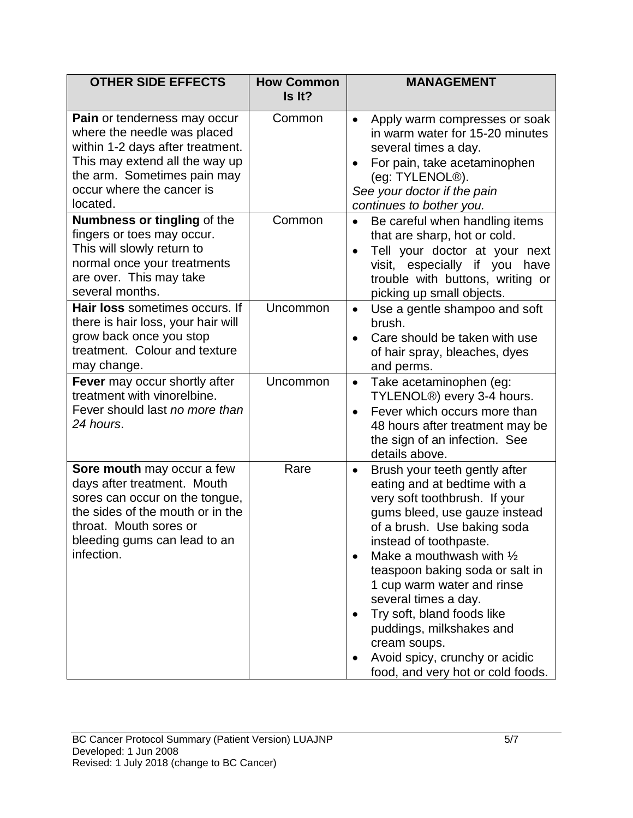| <b>OTHER SIDE EFFECTS</b>                                                                                                                                                                                 | <b>How Common</b><br>Is It? | <b>MANAGEMENT</b>                                                                                                                                                                                                                                                                                                                                                                                                                                                                                   |
|-----------------------------------------------------------------------------------------------------------------------------------------------------------------------------------------------------------|-----------------------------|-----------------------------------------------------------------------------------------------------------------------------------------------------------------------------------------------------------------------------------------------------------------------------------------------------------------------------------------------------------------------------------------------------------------------------------------------------------------------------------------------------|
| Pain or tenderness may occur<br>where the needle was placed<br>within 1-2 days after treatment.<br>This may extend all the way up<br>the arm. Sometimes pain may<br>occur where the cancer is<br>located. | Common                      | Apply warm compresses or soak<br>$\bullet$<br>in warm water for 15-20 minutes<br>several times a day.<br>For pain, take acetaminophen<br>$\bullet$<br>(eg: TYLENOL <sup>®</sup> ).<br>See your doctor if the pain<br>continues to bother you.                                                                                                                                                                                                                                                       |
| <b>Numbness or tingling of the</b><br>fingers or toes may occur.<br>This will slowly return to<br>normal once your treatments<br>are over. This may take<br>several months.                               | Common                      | Be careful when handling items<br>that are sharp, hot or cold.<br>Tell your doctor at your next<br>visit, especially if you<br>have<br>trouble with buttons, writing or<br>picking up small objects.                                                                                                                                                                                                                                                                                                |
| Hair loss sometimes occurs. If<br>there is hair loss, your hair will<br>grow back once you stop<br>treatment. Colour and texture<br>may change.                                                           | Uncommon                    | Use a gentle shampoo and soft<br>$\bullet$<br>brush.<br>Care should be taken with use<br>of hair spray, bleaches, dyes<br>and perms.                                                                                                                                                                                                                                                                                                                                                                |
| Fever may occur shortly after<br>treatment with vinorelbine.<br>Fever should last no more than<br>24 hours.                                                                                               | Uncommon                    | Take acetaminophen (eg:<br>$\bullet$<br>TYLENOL <sup>®</sup> ) every 3-4 hours.<br>Fever which occurs more than<br>$\bullet$<br>48 hours after treatment may be<br>the sign of an infection. See<br>details above.                                                                                                                                                                                                                                                                                  |
| Sore mouth may occur a few<br>days after treatment. Mouth<br>sores can occur on the tongue,<br>the sides of the mouth or in the<br>throat. Mouth sores or<br>bleeding gums can lead to an<br>infection.   | Rare                        | Brush your teeth gently after<br>$\bullet$<br>eating and at bedtime with a<br>very soft toothbrush. If your<br>gums bleed, use gauze instead<br>of a brush. Use baking soda<br>instead of toothpaste.<br>Make a mouthwash with $\frac{1}{2}$<br>$\bullet$<br>teaspoon baking soda or salt in<br>1 cup warm water and rinse<br>several times a day.<br>Try soft, bland foods like<br>puddings, milkshakes and<br>cream soups.<br>Avoid spicy, crunchy or acidic<br>food, and very hot or cold foods. |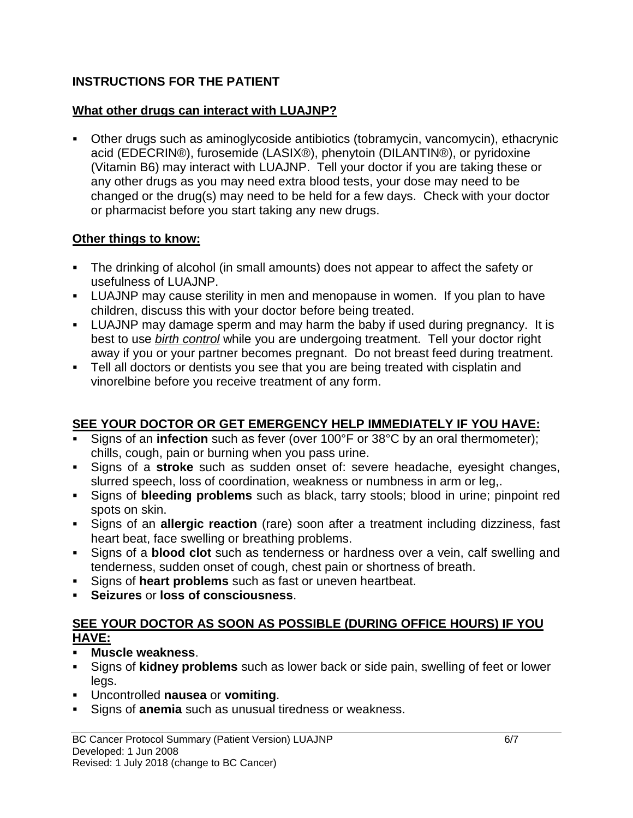# **INSTRUCTIONS FOR THE PATIENT**

### **What other drugs can interact with LUAJNP?**

 Other drugs such as aminoglycoside antibiotics (tobramycin, vancomycin), ethacrynic acid (EDECRIN®), furosemide (LASIX®), phenytoin (DILANTIN®), or pyridoxine (Vitamin B6) may interact with LUAJNP. Tell your doctor if you are taking these or any other drugs as you may need extra blood tests, your dose may need to be changed or the drug(s) may need to be held for a few days. Check with your doctor or pharmacist before you start taking any new drugs.

### **Other things to know:**

- The drinking of alcohol (in small amounts) does not appear to affect the safety or usefulness of LUAJNP.
- LUAJNP may cause sterility in men and menopause in women. If you plan to have children, discuss this with your doctor before being treated.
- LUAJNP may damage sperm and may harm the baby if used during pregnancy. It is best to use *birth control* while you are undergoing treatment. Tell your doctor right away if you or your partner becomes pregnant. Do not breast feed during treatment.
- Tell all doctors or dentists you see that you are being treated with cisplatin and vinorelbine before you receive treatment of any form.

# **SEE YOUR DOCTOR OR GET EMERGENCY HELP IMMEDIATELY IF YOU HAVE:**

- Signs of an **infection** such as fever (over 100°F or 38°C by an oral thermometer); chills, cough, pain or burning when you pass urine.
- Signs of a **stroke** such as sudden onset of: severe headache, eyesight changes, slurred speech, loss of coordination, weakness or numbness in arm or leg,.
- Signs of **bleeding problems** such as black, tarry stools; blood in urine; pinpoint red spots on skin.
- Signs of an **allergic reaction** (rare) soon after a treatment including dizziness, fast heart beat, face swelling or breathing problems.
- Signs of a **blood clot** such as tenderness or hardness over a vein, calf swelling and tenderness, sudden onset of cough, chest pain or shortness of breath.
- Signs of **heart problems** such as fast or uneven heartbeat.
- **Seizures** or **loss of consciousness**.

### **SEE YOUR DOCTOR AS SOON AS POSSIBLE (DURING OFFICE HOURS) IF YOU HAVE:**

- **Muscle weakness**.
- Signs of **kidney problems** such as lower back or side pain, swelling of feet or lower legs.
- Uncontrolled **nausea** or **vomiting**.
- Signs of **anemia** such as unusual tiredness or weakness.